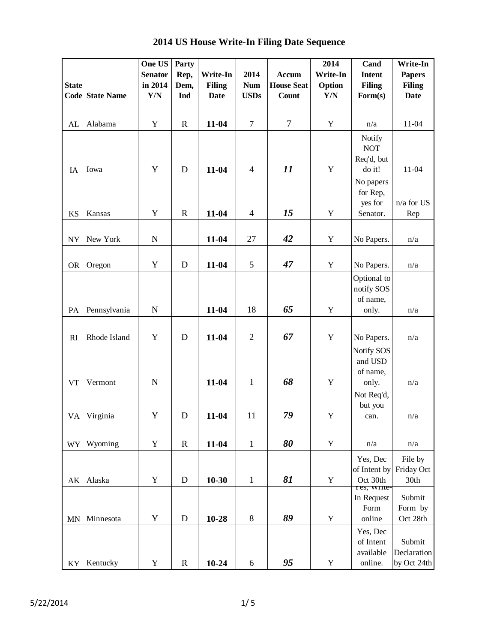|                        |                        | One US                  | Party       |               |                |                   | 2014        | Cand                    | Write-In      |
|------------------------|------------------------|-------------------------|-------------|---------------|----------------|-------------------|-------------|-------------------------|---------------|
|                        |                        | <b>Senator</b>          | Rep,        | Write-In      | 2014           | Accum             | Write-In    | <b>Intent</b>           | <b>Papers</b> |
| <b>State</b>           |                        | in 2014                 | Dem,        | <b>Filing</b> | <b>Num</b>     | <b>House Seat</b> | Option      | <b>Filing</b>           | <b>Filing</b> |
|                        | <b>Code State Name</b> | $\mathbf{Y}/\mathbf{N}$ | Ind         | <b>Date</b>   | <b>USDs</b>    | Count             | Y/N         | Form(s)                 | <b>Date</b>   |
|                        |                        |                         |             |               |                |                   |             |                         |               |
|                        |                        |                         |             |               |                |                   |             |                         |               |
| AL                     | Alabama                | Y                       | $\mathbf R$ | 11-04         | $\overline{7}$ | $\overline{7}$    | $\mathbf Y$ | n/a                     | 11-04         |
|                        |                        |                         |             |               |                |                   |             | Notify                  |               |
|                        |                        |                         |             |               |                |                   |             | <b>NOT</b>              |               |
|                        |                        |                         |             |               |                |                   |             | Req'd, but              |               |
| IA                     | Iowa                   | Y                       | D           | 11-04         | $\overline{4}$ | 11                | $\mathbf Y$ | do it!                  | $11 - 04$     |
|                        |                        |                         |             |               |                |                   |             | No papers               |               |
|                        |                        |                         |             |               |                |                   |             | for Rep,                |               |
|                        |                        |                         |             |               |                |                   |             | yes for                 | n/a for US    |
| <b>KS</b>              | Kansas                 | Y                       | $\mathbf R$ | $11-04$       | $\overline{4}$ | 15                | Y           | Senator.                | Rep           |
|                        |                        |                         |             |               |                |                   |             |                         |               |
| ${\rm NY}$             | New York               | N                       |             | $11 - 04$     | 27             | 42                | Y           | No Papers.              | n/a           |
|                        |                        |                         |             |               |                |                   |             |                         |               |
|                        |                        |                         |             |               |                |                   |             |                         |               |
| <b>OR</b>              | Oregon                 | Y                       | D           | 11-04         | 5              | 47                | $\mathbf Y$ | No Papers.              | n/a           |
|                        |                        |                         |             |               |                |                   |             | Optional to             |               |
|                        |                        |                         |             |               |                |                   |             | notify SOS              |               |
|                        |                        |                         |             |               |                |                   |             | of name,                |               |
| PA                     | Pennsylvania           | $\mathbf N$             |             | 11-04         | 18             | 65                | $\mathbf Y$ | only.                   | n/a           |
|                        |                        |                         |             |               |                |                   |             |                         |               |
| RI                     | Rhode Island           | Y                       | D           | 11-04         | $\overline{c}$ | 67                | Y           | No Papers.              | n/a           |
|                        |                        |                         |             |               |                |                   |             |                         |               |
|                        |                        |                         |             |               |                |                   |             | Notify SOS              |               |
|                        |                        |                         |             |               |                |                   |             | and USD                 |               |
|                        |                        |                         |             |               |                | 68                |             | of name,                |               |
| <b>VT</b>              | Vermont                | $\mathbf N$             |             | 11-04         | $\mathbf{1}$   |                   | $\mathbf Y$ | only.                   | n/a           |
|                        |                        |                         |             |               |                |                   |             | Not Req'd,              |               |
|                        |                        |                         |             |               |                |                   |             | but you                 |               |
| VA                     | Virginia               | Y                       | D           | 11-04         | 11             | 79                | $\mathbf Y$ | can.                    | n/a           |
|                        |                        |                         |             |               |                |                   |             |                         |               |
| <b>WY</b>              | Wyoming                | Y                       | $\mathbf R$ | $11-04$       | $\mathbf{1}$   | 80                | $\mathbf Y$ | n/a                     | n/a           |
|                        |                        |                         |             |               |                |                   |             |                         |               |
|                        |                        |                         |             |               |                |                   |             | Yes, Dec                | File by       |
|                        |                        | Y                       |             |               |                | 81                |             | of Intent by            | Friday Oct    |
| $\mathbf{A}\mathbf{K}$ | Alaska                 |                         | $\mathbf D$ | $10 - 30$     | $\mathbf{1}$   |                   | $\mathbf Y$ | Oct 30th<br>res, write- | 30th          |
|                        |                        |                         |             |               |                |                   |             | In Request              | Submit        |
|                        |                        |                         |             |               |                |                   |             | Form                    | Form by       |
| <b>MN</b>              | Minnesota              | Y                       | $\mathbf D$ | 10-28         | $8\,$          | 89                | $\mathbf Y$ | online                  | Oct 28th      |
|                        |                        |                         |             |               |                |                   |             | Yes, Dec                |               |
|                        |                        |                         |             |               |                |                   |             | of Intent               | Submit        |
|                        |                        |                         |             |               |                |                   |             | available               | Declaration   |
| KY                     | Kentucky               | Y                       | $\mathbf R$ | $10 - 24$     | 6              | 95                | $\mathbf Y$ | online.                 | by Oct 24th   |

 **2014 US House Write-In Filing Date Sequence**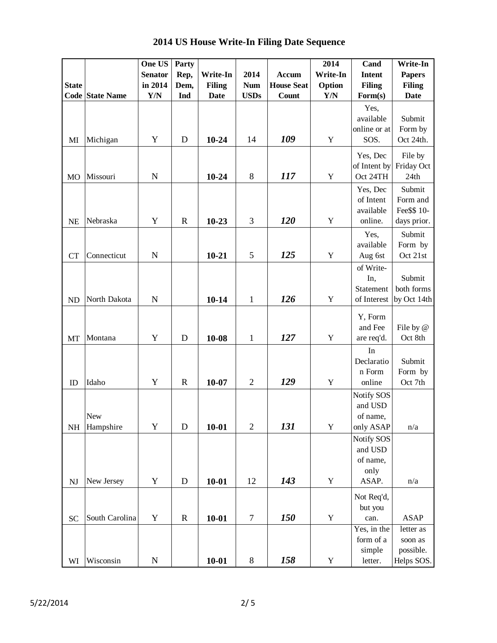|                        |                        | One US                  | Party        |               |                |                   | 2014        | Cand                  | Write-In          |
|------------------------|------------------------|-------------------------|--------------|---------------|----------------|-------------------|-------------|-----------------------|-------------------|
|                        |                        | <b>Senator</b>          | Rep,         | Write-In      | 2014           | Accum             | Write-In    | Intent                | <b>Papers</b>     |
| <b>State</b>           |                        | in 2014                 | Dem,         | <b>Filing</b> | <b>Num</b>     | <b>House Seat</b> | Option      | <b>Filing</b>         | <b>Filing</b>     |
|                        | <b>Code State Name</b> | $\mathbf{Y}/\mathbf{N}$ | Ind          | <b>Date</b>   | <b>USDs</b>    | Count             | Y/N         | Form(s)               | <b>Date</b>       |
|                        |                        |                         |              |               |                |                   |             | Yes,                  |                   |
|                        |                        |                         |              |               |                |                   |             | available             | Submit            |
|                        |                        |                         |              |               |                |                   |             | online or at          | Form by           |
| MI                     | Michigan               | Y                       | D            | $10 - 24$     | 14             | 109               | $\mathbf Y$ | SOS.                  | Oct 24th.         |
|                        |                        |                         |              |               |                |                   |             | Yes, Dec              | File by           |
|                        |                        |                         |              |               |                |                   |             | of Intent by          | Friday Oct        |
| M <sub>O</sub>         | Missouri               | $\mathbf N$             |              | $10 - 24$     | 8              | 117               | Y           | Oct 24TH              | 24th              |
|                        |                        |                         |              |               |                |                   |             | Yes, Dec              | Submit            |
|                        |                        |                         |              |               |                |                   |             | of Intent             | Form and          |
|                        |                        |                         |              |               |                |                   |             | available             | Fee\$\$ 10-       |
| <b>NE</b>              | Nebraska               | Y                       | $\mathbb{R}$ | $10 - 23$     | 3              | 120               | $\mathbf Y$ | online.               | days prior.       |
|                        |                        |                         |              |               |                |                   |             | Yes,                  | Submit            |
|                        |                        |                         |              |               |                |                   |             | available             | Form by           |
| <b>CT</b>              | Connecticut            | $\mathbf N$             |              | $10 - 21$     | 5              | 125               | $\mathbf Y$ | Aug 6st               | Oct 21st          |
|                        |                        |                         |              |               |                |                   |             | of Write-             |                   |
|                        |                        |                         |              |               |                |                   |             | In,                   | Submit            |
|                        |                        |                         |              |               |                |                   |             | Statement             | both forms        |
| <b>ND</b>              | North Dakota           | $\mathbf N$             |              | $10 - 14$     | $\mathbf{1}$   | 126               | Y           | of Interest           | by Oct 14th       |
|                        |                        |                         |              |               |                |                   |             |                       |                   |
|                        |                        |                         |              |               |                |                   |             | Y, Form<br>and Fee    | File by @         |
| MT                     | Montana                | Y                       | D            | 10-08         | $\mathbf{1}$   | 127               | $\mathbf Y$ | are req'd.            | Oct 8th           |
|                        |                        |                         |              |               |                |                   |             |                       |                   |
|                        |                        |                         |              |               |                |                   |             | In                    |                   |
|                        |                        |                         |              |               |                |                   |             | Declaratio<br>n Form  | Submit<br>Form by |
| ID                     | Idaho                  | Y                       | $\mathbf R$  | $10 - 07$     | $\overline{2}$ | 129               | $\mathbf Y$ | online                | Oct 7th           |
|                        |                        |                         |              |               |                |                   |             |                       |                   |
|                        |                        |                         |              |               |                |                   |             | Notify SOS<br>and USD |                   |
|                        | New                    |                         |              |               |                |                   |             | of name,              |                   |
| NH                     | Hampshire              | $\mathbf Y$             | $\mathbf D$  | $10 - 01$     | $\mathbf{2}$   | 131               | $\mathbf Y$ | only ASAP             | n/a               |
|                        |                        |                         |              |               |                |                   |             | Notify SOS            |                   |
|                        |                        |                         |              |               |                |                   |             | and USD               |                   |
|                        |                        |                         |              |               |                |                   |             | of name,              |                   |
|                        |                        |                         |              |               |                |                   |             | only                  |                   |
| $\mathbf{N}\mathbf{J}$ | New Jersey             | $\mathbf Y$             | $\mathbf D$  | $10 - 01$     | 12             | 143               | $\mathbf Y$ | ASAP.                 | n/a               |
|                        |                        |                         |              |               |                |                   |             |                       |                   |
|                        |                        |                         |              |               |                |                   |             | Not Req'd,<br>but you |                   |
| <b>SC</b>              | South Carolina         | Y                       | $\mathbf R$  | $10 - 01$     | 7              | <b>150</b>        | $\mathbf Y$ | can.                  | <b>ASAP</b>       |
|                        |                        |                         |              |               |                |                   |             | Yes, in the           | letter as         |
|                        |                        |                         |              |               |                |                   |             | form of a             | soon as           |
|                        |                        |                         |              |               |                |                   |             | simple                | possible.         |
| WI                     | Wisconsin              | $\mathbf N$             |              | $10 - 01$     | $8\,$          | 158               | $\mathbf Y$ | letter.               | Helps SOS.        |

 **2014 US House Write-In Filing Date Sequence**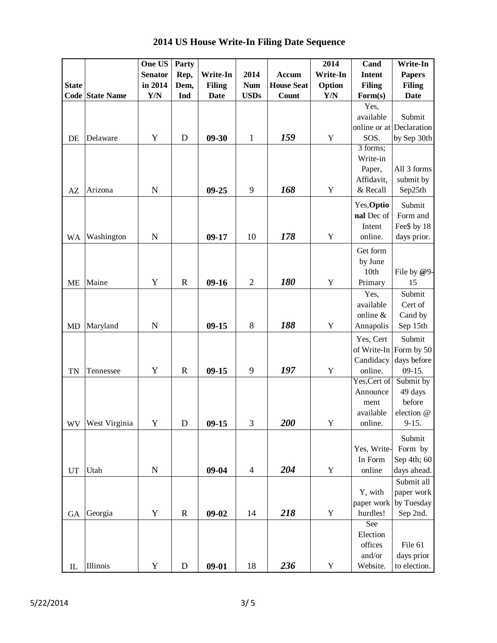|              |                        | One US         | Party       |               |                |                   | 2014        | Cand          | Write-In                 |
|--------------|------------------------|----------------|-------------|---------------|----------------|-------------------|-------------|---------------|--------------------------|
|              |                        | <b>Senator</b> | Rep,        | Write-In      | 2014           | <b>Accum</b>      | Write-In    | <b>Intent</b> | <b>Papers</b>            |
| <b>State</b> |                        | in 2014        | Dem,        | <b>Filing</b> | <b>Num</b>     | <b>House Seat</b> | Option      | <b>Filing</b> | <b>Filing</b>            |
|              | <b>Code State Name</b> | Y/N            | Ind         | <b>Date</b>   | <b>USDs</b>    | Count             | Y/N         | Form(s)       | <b>Date</b>              |
|              |                        |                |             |               |                |                   |             | Yes,          |                          |
|              |                        |                |             |               |                |                   |             | available     | Submit                   |
|              |                        |                |             |               |                |                   |             |               | online or at Declaration |
| DE           | Delaware               | Y              | D           | $09 - 30$     | $\mathbf{1}$   | 159               | Y           | SOS.          | by Sep 30th              |
|              |                        |                |             |               |                |                   |             | 3 forms;      |                          |
|              |                        |                |             |               |                |                   |             | Write-in      |                          |
|              |                        |                |             |               |                |                   |             | Paper,        | All 3 forms              |
|              |                        |                |             |               |                |                   |             | Affidavit,    | submit by                |
| AZ           | Arizona                | $\mathbf N$    |             | $09 - 25$     | 9              | 168               | Y           | & Recall      | Sep25th                  |
|              |                        |                |             |               |                |                   |             | Yes, Optio    | Submit                   |
|              |                        |                |             |               |                |                   |             | nal Dec of    | Form and                 |
|              |                        |                |             |               |                |                   |             | Intent        | Fee\$ by 18              |
|              | Washington             | $\mathbf N$    |             | $09-17$       | 10             | 178               | $\mathbf Y$ | online.       | days prior.              |
| <b>WA</b>    |                        |                |             |               |                |                   |             |               |                          |
|              |                        |                |             |               |                |                   |             | Get form      |                          |
|              |                        |                |             |               |                |                   |             | by June       |                          |
|              |                        |                |             |               |                |                   |             | 10th          | File by @9-              |
| <b>ME</b>    | Maine                  | Y              | $\mathbf R$ | $09-16$       | $\sqrt{2}$     | 180               | Y           | Primary       | 15                       |
|              |                        |                |             |               |                |                   |             | Yes,          | Submit                   |
|              |                        |                |             |               |                |                   |             | available     | Cert of                  |
|              |                        |                |             |               |                |                   |             | online &      | Cand by                  |
| <b>MD</b>    | Maryland               | $\mathbf N$    |             | $09 - 15$     | 8              | 188               | Y           | Annapolis     | Sep 15th                 |
|              |                        |                |             |               |                |                   |             | Yes, Cert     | Submit                   |
|              |                        |                |             |               |                |                   |             |               | of Write-In Form by 50   |
|              |                        |                |             |               |                |                   |             | Candidacy     | days before              |
| <b>TN</b>    | Tennessee              | Y              | $\mathbf R$ | $09-15$       | 9              | 197               | Y           | online.       | $09-15.$                 |
|              |                        |                |             |               |                |                   |             | Yes, Cert of  | Submit by                |
|              |                        |                |             |               |                |                   |             | Announce      | 49 days                  |
|              |                        |                |             |               |                |                   |             | ment          | before                   |
|              |                        |                |             |               |                |                   |             | available     | election @               |
| <b>WV</b>    | West Virginia          | Y              | D           | $09-15$       | 3              | 200               | $\mathbf Y$ | online.       | $9-15.$                  |
|              |                        |                |             |               |                |                   |             |               |                          |
|              |                        |                |             |               |                |                   |             |               | Submit                   |
|              |                        |                |             |               |                |                   |             | Yes, Write-   | Form by                  |
|              |                        |                |             |               |                |                   |             | In Form       | Sep 4th; 60              |
| UT           | Utah                   | ${\bf N}$      |             | $09 - 04$     | $\overline{4}$ | 204               | $\mathbf Y$ | online        | days ahead.              |
|              |                        |                |             |               |                |                   |             |               | Submit all               |
|              |                        |                |             |               |                |                   |             | Y, with       | paper work               |
|              |                        |                |             |               |                |                   |             | paper work    | by Tuesday               |
| <b>GA</b>    | Georgia                | Y              | $\mathbf R$ | $09 - 02$     | 14             | 218               | $\mathbf Y$ | hurdles!      | Sep 2nd.                 |
|              |                        |                |             |               |                |                   |             | See           |                          |
|              |                        |                |             |               |                |                   |             | Election      |                          |
|              |                        |                |             |               |                |                   |             | offices       | File 61                  |
|              |                        |                |             |               |                |                   |             | and/or        | days prior               |
| $\rm IL$     | Illinois               | $\mathbf Y$    | ${\bf D}$   | $09 - 01$     | 18             | 236               | $\mathbf Y$ | Website.      | to election.             |

 **2014 US House Write-In Filing Date Sequence**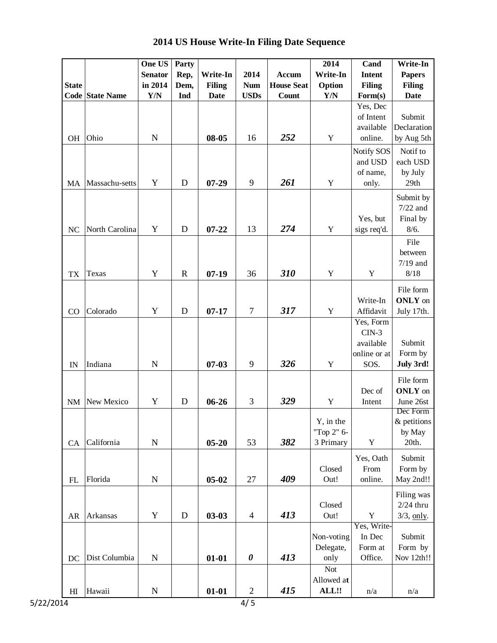|                |                        | One US         | Party       |               |                       |                   | 2014        | Cand          | Write-In       |
|----------------|------------------------|----------------|-------------|---------------|-----------------------|-------------------|-------------|---------------|----------------|
|                |                        | <b>Senator</b> | Rep,        | Write-In      | 2014                  | <b>Accum</b>      | Write-In    | <b>Intent</b> | <b>Papers</b>  |
| <b>State</b>   |                        | in 2014        | Dem,        | <b>Filing</b> | <b>Num</b>            | <b>House Seat</b> | Option      | <b>Filing</b> | <b>Filing</b>  |
|                | <b>Code State Name</b> | Y/N            | Ind         | <b>Date</b>   | <b>USDs</b>           | <b>Count</b>      | Y/N         | Form(s)       | <b>Date</b>    |
|                |                        |                |             |               |                       |                   |             | Yes, Dec      |                |
|                |                        |                |             |               |                       |                   |             | of Intent     | Submit         |
|                |                        |                |             |               |                       |                   |             | available     | Declaration    |
| <b>OH</b>      | Ohio                   | $\mathbf N$    |             | 08-05         | 16                    | 252               | Y           | online.       | by Aug 5th     |
|                |                        |                |             |               |                       |                   |             | Notify SOS    | Notif to       |
|                |                        |                |             |               |                       |                   |             | and USD       | each USD       |
|                |                        |                |             |               |                       |                   |             | of name,      | by July        |
| MA             | Massachu-setts         | Y              | D           | $07 - 29$     | 9                     | 261               | Y           | only.         | 29th           |
|                |                        |                |             |               |                       |                   |             |               | Submit by      |
|                |                        |                |             |               |                       |                   |             |               | $7/22$ and     |
|                |                        |                |             |               |                       |                   |             | Yes, but      | Final by       |
| NC             | North Carolina         | Y              | D           | $07 - 22$     | 13                    | 274               | $\mathbf Y$ | sigs req'd.   | 8/6.           |
|                |                        |                |             |               |                       |                   |             |               | File           |
|                |                        |                |             |               |                       |                   |             |               | between        |
|                |                        |                |             |               |                       |                   |             |               | $7/19$ and     |
| TX             | Texas                  | Y              | $\mathbf R$ | $07 - 19$     | 36                    | 310               | $\mathbf Y$ | $\mathbf Y$   | $8/18$         |
|                |                        |                |             |               |                       |                   |             |               | File form      |
|                |                        |                |             |               |                       |                   |             | Write-In      | ONLY on        |
| CO             | Colorado               | Y              | D           | $07 - 17$     | $\boldsymbol{7}$      | 317               | $\mathbf Y$ | Affidavit     | July 17th.     |
|                |                        |                |             |               |                       |                   |             | Yes, Form     |                |
|                |                        |                |             |               |                       |                   |             | $CIN-3$       |                |
|                |                        |                |             |               |                       |                   |             | available     | Submit         |
|                |                        |                |             |               |                       |                   |             | online or at  | Form by        |
| IN             | Indiana                | $\mathbf N$    |             | $07 - 03$     | 9                     | 326               | $\mathbf Y$ | SOS.          | July 3rd!      |
|                |                        |                |             |               |                       |                   |             |               | File form      |
|                |                        |                |             |               |                       |                   |             | Dec of        | <b>ONLY</b> on |
| NM             | New Mexico             | Y              | D           | $06 - 26$     | 3                     | 329               | Y           | Intent        | June 26st      |
|                |                        |                |             |               |                       |                   |             |               | Dec Form       |
|                |                        |                |             |               |                       |                   | Y, in the   |               | & petitions    |
|                |                        |                |             |               |                       |                   | "Top 2" 6-  |               | by May         |
| CA             | California             | ${\bf N}$      |             | $05 - 20$     | 53                    | 382               | 3 Primary   | Y             | 20th.          |
|                |                        |                |             |               |                       |                   |             | Yes, Oath     | Submit         |
|                |                        |                |             |               |                       |                   | Closed      | From          | Form by        |
| FL             | Florida                | ${\bf N}$      |             | $05 - 02$     | 27                    | 409               | Out!        | online.       | May 2nd!!      |
|                |                        |                |             |               |                       |                   |             |               | Filing was     |
|                |                        |                |             |               |                       |                   | Closed      |               | $2/24$ thru    |
| AR             | Arkansas               | $\mathbf Y$    | $\mathbf D$ | $03 - 03$     | $\overline{4}$        | 413               | Out!        | $\mathbf Y$   | $3/3$ , only.  |
|                |                        |                |             |               |                       |                   |             | Yes, Write-   |                |
|                |                        |                |             |               |                       |                   | Non-voting  | In Dec        | Submit         |
|                |                        |                |             |               |                       |                   | Delegate,   | Form at       | Form by        |
| DC             | Dist Columbia          | ${\bf N}$      |             | $01 - 01$     | $\boldsymbol{\theta}$ | 413               | only        | Office.       | Nov 12th!!     |
|                |                        |                |             |               |                       |                   | <b>Not</b>  |               |                |
|                |                        |                |             |               |                       |                   | Allowed at  |               |                |
| H <sub>I</sub> | Hawaii                 | ${\bf N}$      |             | $01 - 01$     | $\overline{2}$        | 415               | ALL!!       | n/a           | n/a            |
| 5/22/2014      |                        |                |             |               | 4/5                   |                   |             |               |                |

 **2014 US House Write-In Filing Date Sequence**